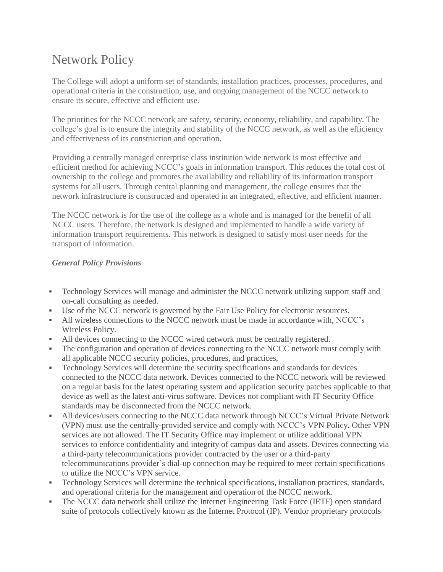# Network Policy

The College will adopt a uniform set of standards, installation practices, processes, procedures, and operational criteria in the construction, use, and ongoing management of the NCCC network to ensure its secure, effective and efficient use.

The priorities for the NCCC network are safety, security, economy, reliability, and capability. The college's goal is to ensure the integrity and stability of the NCCC network, as well as the efficiency and effectiveness of its construction and operation.

Providing a centrally managed enterprise class institution wide network is most effective and efficient method for achieving NCCC's goals in information transport. This reduces the total cost of ownership to the college and promotes the availability and reliability of its information transport systems for all users. Through central planning and management, the college ensures that the network infrastructure is constructed and operated in an integrated, effective, and efficient manner.

The NCCC network is for the use of the college as a whole and is managed for the benefit of all NCCC users. Therefore, the network is designed and implemented to handle a wide variety of information transport requirements. This network is designed to satisfy most user needs for the transport of information.

## *General Policy Provisions*

- Technology Services will manage and administer the NCCC network utilizing support staff and on-call consulting as needed.
- Use of the NCCC network is governed by the Fair Use Policy for electronic resources.
- All wireless connections to the NCCC network must be made in accordance with, NCCC's Wireless Policy.
- If All devices connecting to the NCCC wired network must be centrally registered.
- The configuration and operation of devices connecting to the NCCC network must comply with all applicable NCCC security policies, procedures, and practices,
- Technology Services will determine the security specifications and standards for devices connected to the NCCC data network. Devices connected to the NCCC network will be reviewed on a regular basis for the latest operating system and application security patches applicable to that device as well as the latest anti-virus software. Devices not compliant with IT Security Office standards may be disconnected from the NCCC network.
- All devices/users connecting to the NCCC data network through NCCC's Virtual Private Network (VPN) must use the centrally-provided service and comply with NCCC's VPN Policy**.** Other VPN services are not allowed. The IT Security Office may implement or utilize additional VPN services to enforce confidentiality and integrity of campus data and assets. Devices connecting via a third-party telecommunications provider contracted by the user or a third-party telecommunications provider's dial-up connection may be required to meet certain specifications to utilize the NCCC's VPN service.
- Technology Services will determine the technical specifications, installation practices, standards, and operational criteria for the management and operation of the NCCC network.
- The NCCC data network shall utilize the Internet Engineering Task Force (IETF) open standard suite of protocols collectively known as the Internet Protocol (IP). Vendor proprietary protocols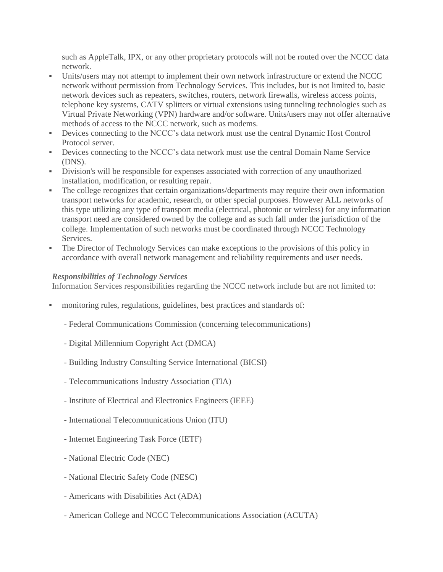such as AppleTalk, IPX, or any other proprietary protocols will not be routed over the NCCC data network.

- Units/users may not attempt to implement their own network infrastructure or extend the NCCC network without permission from Technology Services. This includes, but is not limited to, basic network devices such as repeaters, switches, routers, network firewalls, wireless access points, telephone key systems, CATV splitters or virtual extensions using tunneling technologies such as Virtual Private Networking (VPN) hardware and/or software. Units/users may not offer alternative methods of access to the NCCC network, such as modems.
- Devices connecting to the NCCC's data network must use the central Dynamic Host Control Protocol server.
- Devices connecting to the NCCC's data network must use the central Domain Name Service (DNS).
- Division's will be responsible for expenses associated with correction of any unauthorized installation, modification, or resulting repair.
- The college recognizes that certain organizations/departments may require their own information transport networks for academic, research, or other special purposes. However ALL networks of this type utilizing any type of transport media (electrical, photonic or wireless) for any information transport need are considered owned by the college and as such fall under the jurisdiction of the college. Implementation of such networks must be coordinated through NCCC Technology Services.
- The Director of Technology Services can make exceptions to the provisions of this policy in accordance with overall network management and reliability requirements and user needs.

### *Responsibilities of Technology Services*

Information Services responsibilities regarding the NCCC network include but are not limited to:

- monitoring rules, regulations, guidelines, best practices and standards of:
	- Federal Communications Commission (concerning telecommunications)
	- Digital Millennium Copyright Act (DMCA)
	- Building Industry Consulting Service International (BICSI)
	- Telecommunications Industry Association (TIA)
	- Institute of Electrical and Electronics Engineers (IEEE)
	- International Telecommunications Union (ITU)
	- Internet Engineering Task Force (IETF)
	- National Electric Code (NEC)
	- National Electric Safety Code (NESC)
	- Americans with Disabilities Act (ADA)
	- American College and NCCC Telecommunications Association (ACUTA)